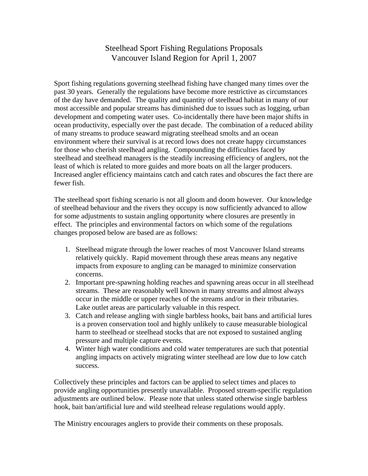# Steelhead Sport Fishing Regulations Proposals Vancouver Island Region for April 1, 2007

Sport fishing regulations governing steelhead fishing have changed many times over the past 30 years. Generally the regulations have become more restrictive as circumstances of the day have demanded. The quality and quantity of steelhead habitat in many of our most accessible and popular streams has diminished due to issues such as logging, urban development and competing water uses. Co-incidentally there have been major shifts in ocean productivity, especially over the past decade. The combination of a reduced ability of many streams to produce seaward migrating steelhead smolts and an ocean environment where their survival is at record lows does not create happy circumstances for those who cherish steelhead angling. Compounding the difficulties faced by steelhead and steelhead managers is the steadily increasing efficiency of anglers, not the least of which is related to more guides and more boats on all the larger producers. Increased angler efficiency maintains catch and catch rates and obscures the fact there are fewer fish.

The steelhead sport fishing scenario is not all gloom and doom however. Our knowledge of steelhead behaviour and the rivers they occupy is now sufficiently advanced to allow for some adjustments to sustain angling opportunity where closures are presently in effect. The principles and environmental factors on which some of the regulations changes proposed below are based are as follows:

- 1. Steelhead migrate through the lower reaches of most Vancouver Island streams relatively quickly. Rapid movement through these areas means any negative impacts from exposure to angling can be managed to minimize conservation concerns.
- 2. Important pre-spawning holding reaches and spawning areas occur in all steelhead streams. These are reasonably well known in many streams and almost always occur in the middle or upper reaches of the streams and/or in their tributaries. Lake outlet areas are particularly valuable in this respect.
- 3. Catch and release angling with single barbless hooks, bait bans and artificial lures is a proven conservation tool and highly unlikely to cause measurable biological harm to steelhead or steelhead stocks that are not exposed to sustained angling pressure and multiple capture events.
- 4. Winter high water conditions and cold water temperatures are such that potential angling impacts on actively migrating winter steelhead are low due to low catch success.

Collectively these principles and factors can be applied to select times and places to provide angling opportunities presently unavailable. Proposed stream-specific regulation adjustments are outlined below. Please note that unless stated otherwise single barbless hook, bait ban/artificial lure and wild steelhead release regulations would apply.

The Ministry encourages anglers to provide their comments on these proposals.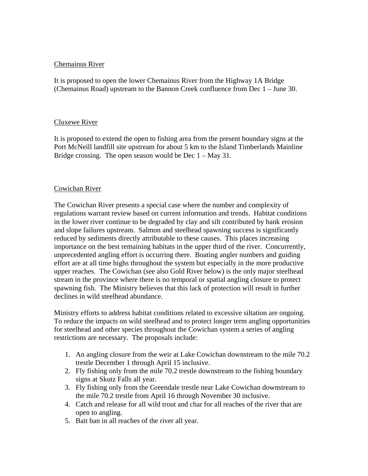## Chemainus River

It is proposed to open the lower Chemainus River from the Highway 1A Bridge (Chemainus Road) upstream to the Bannon Creek confluence from Dec 1 – June 30.

## Cluxewe River

It is proposed to extend the open to fishing area from the present boundary signs at the Port McNeill landfill site upstream for about 5 km to the Island Timberlands Mainline Bridge crossing. The open season would be Dec  $1 - May\ 31$ .

## Cowichan River

The Cowichan River presents a special case where the number and complexity of regulations warrant review based on current information and trends. Habitat conditions in the lower river continue to be degraded by clay and silt contributed by bank erosion and slope failures upstream. Salmon and steelhead spawning success is significantly reduced by sediments directly attributable to these causes. This places increasing importance on the best remaining habitats in the upper third of the river. Concurrently, unprecedented angling effort is occurring there. Boating angler numbers and guiding effort are at all time highs throughout the system but especially in the more productive upper reaches. The Cowichan (see also Gold River below) is the only major steelhead stream in the province where there is no temporal or spatial angling closure to protect spawning fish. The Ministry believes that this lack of protection will result in further declines in wild steelhead abundance.

Ministry efforts to address habitat conditions related to excessive siltation are ongoing. To reduce the impacts on wild steelhead and to protect longer term angling opportunities for steelhead and other species throughout the Cowichan system a series of angling restrictions are necessary. The proposals include:

- 1. An angling closure from the weir at Lake Cowichan downstream to the mile 70.2 trestle December 1 through April 15 inclusive.
- 2. Fly fishing only from the mile 70.2 trestle downstream to the fishing boundary signs at Skutz Falls all year.
- 3. Fly fishing only from the Greendale trestle near Lake Cowichan downstream to the mile 70.2 trestle from April 16 through November 30 inclusive.
- 4. Catch and release for all wild trout and char for all reaches of the river that are open to angling.
- 5. Bait ban in all reaches of the river all year.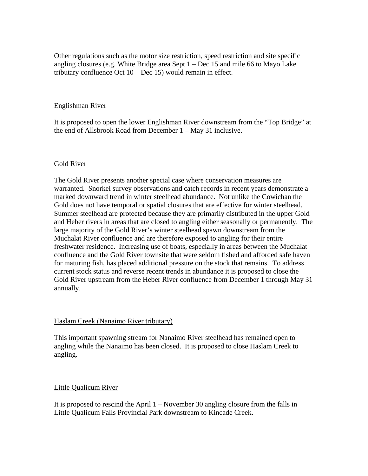Other regulations such as the motor size restriction, speed restriction and site specific angling closures (e.g. White Bridge area Sept 1 – Dec 15 and mile 66 to Mayo Lake tributary confluence Oct 10 – Dec 15) would remain in effect.

### Englishman River

It is proposed to open the lower Englishman River downstream from the "Top Bridge" at the end of Allsbrook Road from December 1 – May 31 inclusive.

#### Gold River

The Gold River presents another special case where conservation measures are warranted. Snorkel survey observations and catch records in recent years demonstrate a marked downward trend in winter steelhead abundance. Not unlike the Cowichan the Gold does not have temporal or spatial closures that are effective for winter steelhead. Summer steelhead are protected because they are primarily distributed in the upper Gold and Heber rivers in areas that are closed to angling either seasonally or permanently. The large majority of the Gold River's winter steelhead spawn downstream from the Muchalat River confluence and are therefore exposed to angling for their entire freshwater residence. Increasing use of boats, especially in areas between the Muchalat confluence and the Gold River townsite that were seldom fished and afforded safe haven for maturing fish, has placed additional pressure on the stock that remains. To address current stock status and reverse recent trends in abundance it is proposed to close the Gold River upstream from the Heber River confluence from December 1 through May 31 annually.

#### Haslam Creek (Nanaimo River tributary)

This important spawning stream for Nanaimo River steelhead has remained open to angling while the Nanaimo has been closed. It is proposed to close Haslam Creek to angling.

#### Little Qualicum River

It is proposed to rescind the April 1 – November 30 angling closure from the falls in Little Qualicum Falls Provincial Park downstream to Kincade Creek.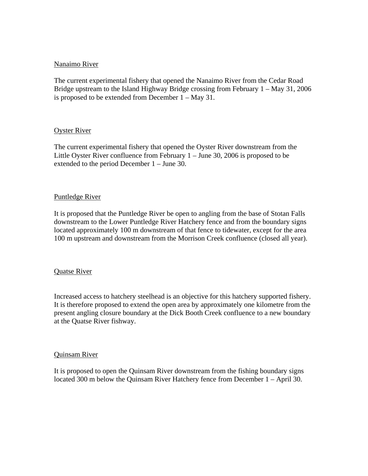### Nanaimo River

The current experimental fishery that opened the Nanaimo River from the Cedar Road Bridge upstream to the Island Highway Bridge crossing from February 1 – May 31, 2006 is proposed to be extended from December 1 – May 31.

#### Oyster River

The current experimental fishery that opened the Oyster River downstream from the Little Oyster River confluence from February 1 – June 30, 2006 is proposed to be extended to the period December 1 – June 30.

#### Puntledge River

It is proposed that the Puntledge River be open to angling from the base of Stotan Falls downstream to the Lower Puntledge River Hatchery fence and from the boundary signs located approximately 100 m downstream of that fence to tidewater, except for the area 100 m upstream and downstream from the Morrison Creek confluence (closed all year).

#### Quatse River

Increased access to hatchery steelhead is an objective for this hatchery supported fishery. It is therefore proposed to extend the open area by approximately one kilometre from the present angling closure boundary at the Dick Booth Creek confluence to a new boundary at the Quatse River fishway.

#### Quinsam River

It is proposed to open the Quinsam River downstream from the fishing boundary signs located 300 m below the Quinsam River Hatchery fence from December 1 – April 30.